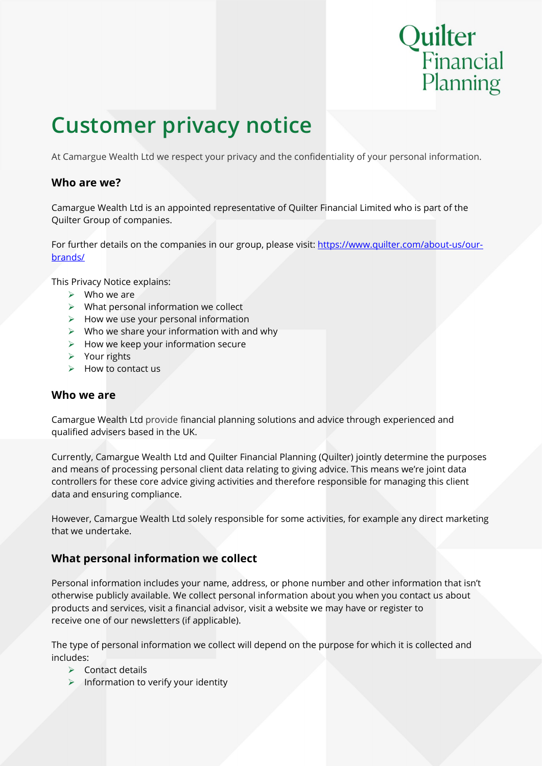# Quilter<br>Financial Planning

# Customer privacy notice

At Camargue Wealth Ltd we respect your privacy and the confidentiality of your personal information.

#### Who are we?

Camargue Wealth Ltd is an appointed representative of Quilter Financial Limited who is part of the Quilter Group of companies.

For further details on the companies in our group, please visit: https://www.quilter.com/about-us/ourbrands/

This Privacy Notice explains:

- $\triangleright$  Who we are
- $\triangleright$  What personal information we collect
- $\triangleright$  How we use your personal information
- $\triangleright$  Who we share your information with and why
- $\triangleright$  How we keep your information secure
- $\triangleright$  Your rights
- $\triangleright$  How to contact us

#### Who we are

Camargue Wealth Ltd provide financial planning solutions and advice through experienced and qualified advisers based in the UK.

Currently, Camargue Wealth Ltd and Quilter Financial Planning (Quilter) jointly determine the purposes and means of processing personal client data relating to giving advice. This means we're joint data controllers for these core advice giving activities and therefore responsible for managing this client data and ensuring compliance.

However, Camargue Wealth Ltd solely responsible for some activities, for example any direct marketing that we undertake.

#### What personal information we collect

Personal information includes your name, address, or phone number and other information that isn't otherwise publicly available. We collect personal information about you when you contact us about products and services, visit a financial advisor, visit a website we may have or register to receive one of our newsletters (if applicable).

The type of personal information we collect will depend on the purpose for which it is collected and includes:

- $\triangleright$  Contact details
- $\triangleright$  Information to verify your identity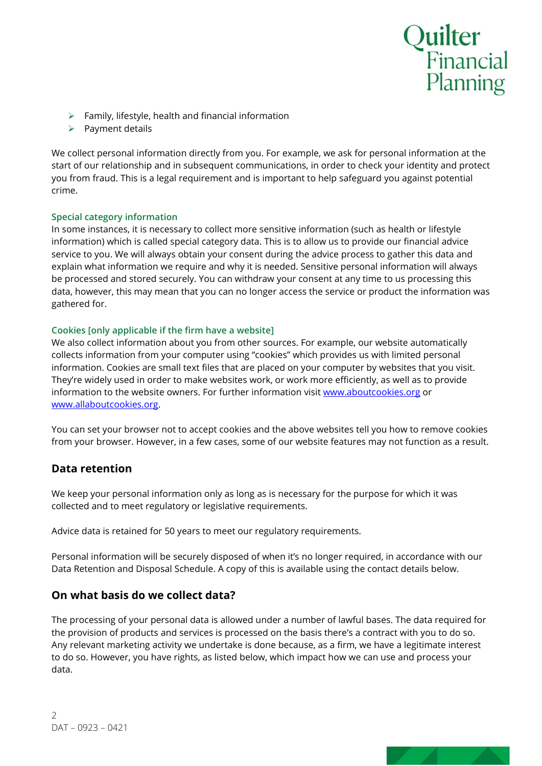

- $\triangleright$  Family, lifestyle, health and financial information
- $\triangleright$  Payment details

We collect personal information directly from you. For example, we ask for personal information at the start of our relationship and in subsequent communications, in order to check your identity and protect you from fraud. This is a legal requirement and is important to help safeguard you against potential crime.

#### Special category information

In some instances, it is necessary to collect more sensitive information (such as health or lifestyle information) which is called special category data. This is to allow us to provide our financial advice service to you. We will always obtain your consent during the advice process to gather this data and explain what information we require and why it is needed. Sensitive personal information will always be processed and stored securely. You can withdraw your consent at any time to us processing this data, however, this may mean that you can no longer access the service or product the information was gathered for.

#### Cookies [only applicable if the firm have a website]

We also collect information about you from other sources. For example, our website automatically collects information from your computer using "cookies" which provides us with limited personal information. Cookies are small text files that are placed on your computer by websites that you visit. They're widely used in order to make websites work, or work more efficiently, as well as to provide information to the website owners. For further information visit www.aboutcookies.org or www.allaboutcookies.org.

You can set your browser not to accept cookies and the above websites tell you how to remove cookies from your browser. However, in a few cases, some of our website features may not function as a result.

# Data retention

We keep your personal information only as long as is necessary for the purpose for which it was collected and to meet regulatory or legislative requirements.

Advice data is retained for 50 years to meet our regulatory requirements.

Personal information will be securely disposed of when it's no longer required, in accordance with our Data Retention and Disposal Schedule. A copy of this is available using the contact details below.

# On what basis do we collect data?

The processing of your personal data is allowed under a number of lawful bases. The data required for the provision of products and services is processed on the basis there's a contract with you to do so. Any relevant marketing activity we undertake is done because, as a firm, we have a legitimate interest to do so. However, you have rights, as listed below, which impact how we can use and process your data.

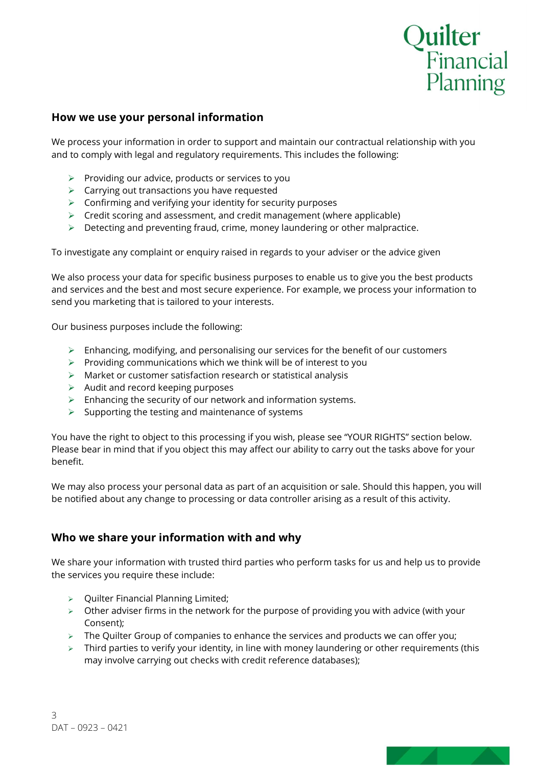

## How we use your personal information

We process your information in order to support and maintain our contractual relationship with you and to comply with legal and regulatory requirements. This includes the following:

- $\triangleright$  Providing our advice, products or services to you
- $\triangleright$  Carrying out transactions you have requested
- $\triangleright$  Confirming and verifying your identity for security purposes
- $\triangleright$  Credit scoring and assessment, and credit management (where applicable)
- $\triangleright$  Detecting and preventing fraud, crime, money laundering or other malpractice.

To investigate any complaint or enquiry raised in regards to your adviser or the advice given

We also process your data for specific business purposes to enable us to give you the best products and services and the best and most secure experience. For example, we process your information to send you marketing that is tailored to your interests.

Our business purposes include the following:

- $\triangleright$  Enhancing, modifying, and personalising our services for the benefit of our customers
- $\triangleright$  Providing communications which we think will be of interest to you
- $\triangleright$  Market or customer satisfaction research or statistical analysis
- $\triangleright$  Audit and record keeping purposes
- $\triangleright$  Enhancing the security of our network and information systems.
- $\triangleright$  Supporting the testing and maintenance of systems

You have the right to object to this processing if you wish, please see "YOUR RIGHTS" section below. Please bear in mind that if you object this may affect our ability to carry out the tasks above for your benefit.

We may also process your personal data as part of an acquisition or sale. Should this happen, you will be notified about any change to processing or data controller arising as a result of this activity.

#### Who we share your information with and why

We share your information with trusted third parties who perform tasks for us and help us to provide the services you require these include:

- > Quilter Financial Planning Limited;
- $\geq$  Other adviser firms in the network for the purpose of providing you with advice (with your Consent);
- $\triangleright$  The Quilter Group of companies to enhance the services and products we can offer you;
- $\triangleright$  Third parties to verify your identity, in line with money laundering or other requirements (this may involve carrying out checks with credit reference databases);

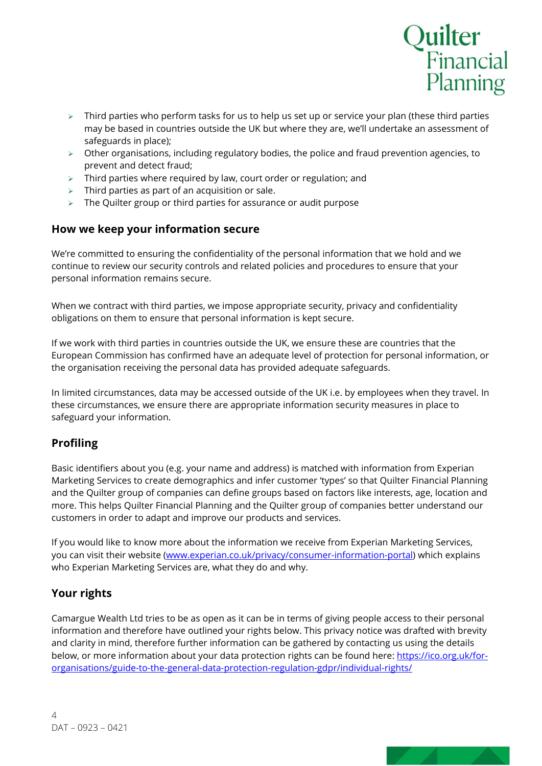

- $\triangleright$  Third parties who perform tasks for us to help us set up or service your plan (these third parties may be based in countries outside the UK but where they are, we'll undertake an assessment of safeguards in place);
- $\triangleright$  Other organisations, including regulatory bodies, the police and fraud prevention agencies, to prevent and detect fraud;
- $\triangleright$  Third parties where required by law, court order or regulation; and
- $\triangleright$  Third parties as part of an acquisition or sale.
- $\triangleright$  The Quilter group or third parties for assurance or audit purpose

## How we keep your information secure

We're committed to ensuring the confidentiality of the personal information that we hold and we continue to review our security controls and related policies and procedures to ensure that your personal information remains secure.

When we contract with third parties, we impose appropriate security, privacy and confidentiality obligations on them to ensure that personal information is kept secure.

If we work with third parties in countries outside the UK, we ensure these are countries that the European Commission has confirmed have an adequate level of protection for personal information, or the organisation receiving the personal data has provided adequate safeguards.

In limited circumstances, data may be accessed outside of the UK i.e. by employees when they travel. In these circumstances, we ensure there are appropriate information security measures in place to safeguard your information.

# Profiling

Basic identifiers about you (e.g. your name and address) is matched with information from Experian Marketing Services to create demographics and infer customer 'types' so that Quilter Financial Planning and the Quilter group of companies can define groups based on factors like interests, age, location and more. This helps Quilter Financial Planning and the Quilter group of companies better understand our customers in order to adapt and improve our products and services.

If you would like to know more about the information we receive from Experian Marketing Services, you can visit their website (www.experian.co.uk/privacy/consumer-information-portal) which explains who Experian Marketing Services are, what they do and why.

# Your rights

Camargue Wealth Ltd tries to be as open as it can be in terms of giving people access to their personal information and therefore have outlined your rights below. This privacy notice was drafted with brevity and clarity in mind, therefore further information can be gathered by contacting us using the details below, or more information about your data protection rights can be found here: https://ico.org.uk/fororganisations/guide-to-the-general-data-protection-regulation-gdpr/individual-rights/

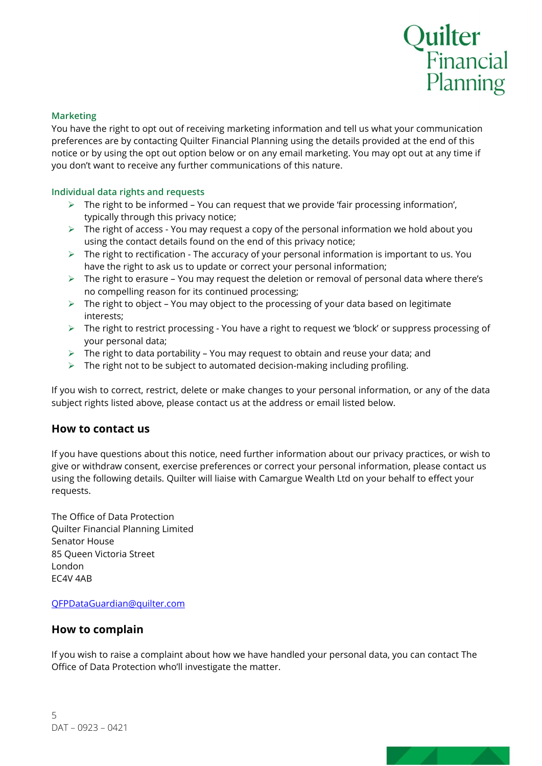

#### Marketing

You have the right to opt out of receiving marketing information and tell us what your communication preferences are by contacting Quilter Financial Planning using the details provided at the end of this notice or by using the opt out option below or on any email marketing. You may opt out at any time if you don't want to receive any further communications of this nature.

#### Individual data rights and requests

- $\triangleright$  The right to be informed You can request that we provide 'fair processing information', typically through this privacy notice;
- $\triangleright$  The right of access You may request a copy of the personal information we hold about you using the contact details found on the end of this privacy notice;
- $\triangleright$  The right to rectification The accuracy of your personal information is important to us. You have the right to ask us to update or correct your personal information;
- $\triangleright$  The right to erasure You may request the deletion or removal of personal data where there's no compelling reason for its continued processing;
- $\triangleright$  The right to object You may object to the processing of your data based on legitimate interests;
- The right to restrict processing You have a right to request we 'block' or suppress processing of your personal data;
- $\triangleright$  The right to data portability You may request to obtain and reuse your data; and
- $\triangleright$  The right not to be subject to automated decision-making including profiling.

If you wish to correct, restrict, delete or make changes to your personal information, or any of the data subject rights listed above, please contact us at the address or email listed below.

#### How to contact us

If you have questions about this notice, need further information about our privacy practices, or wish to give or withdraw consent, exercise preferences or correct your personal information, please contact us using the following details. Quilter will liaise with Camargue Wealth Ltd on your behalf to effect your requests.

The Office of Data Protection Quilter Financial Planning Limited Senator House 85 Queen Victoria Street London EC4V 4AB

#### QFPDataGuardian@quilter.com

#### How to complain

If you wish to raise a complaint about how we have handled your personal data, you can contact The Office of Data Protection who'll investigate the matter.